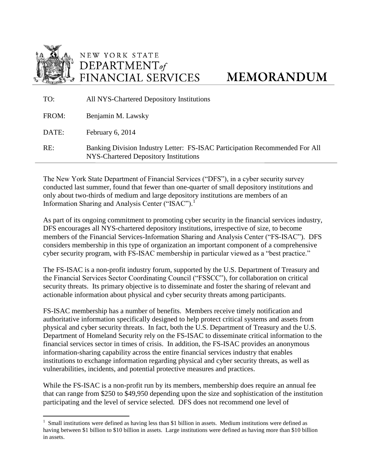

NEW YORK STATE DEPARTMENT of FINANCIAL SERVICES

## **MEMORANDUM**

| TO:   | All NYS-Chartered Depository Institutions                                                                            |
|-------|----------------------------------------------------------------------------------------------------------------------|
| FROM: | Benjamin M. Lawsky                                                                                                   |
| DATE: | February 6, 2014                                                                                                     |
| RE:   | Banking Division Industry Letter: FS-ISAC Participation Recommended For All<br>NYS-Chartered Depository Institutions |

The New York State Department of Financial Services ("DFS"), in a cyber security survey conducted last summer, found that fewer than one-quarter of small depository institutions and only about two-thirds of medium and large depository institutions are members of an Information Sharing and Analysis Center ("ISAC").<sup>1</sup>

As part of its ongoing commitment to promoting cyber security in the financial services industry, DFS encourages all NYS-chartered depository institutions, irrespective of size, to become members of the Financial Services-Information Sharing and Analysis Center ("FS-ISAC"). DFS considers membership in this type of organization an important component of a comprehensive cyber security program, with FS-ISAC membership in particular viewed as a "best practice."

The FS-ISAC is a non-profit industry forum, supported by the U.S. Department of Treasury and the Financial Services Sector Coordinating Council ("FSSCC"), for collaboration on critical security threats. Its primary objective is to disseminate and foster the sharing of relevant and actionable information about physical and cyber security threats among participants.

FS-ISAC membership has a number of benefits. Members receive timely notification and authoritative information specifically designed to help protect critical systems and assets from physical and cyber security threats. In fact, both the U.S. Department of Treasury and the U.S. Department of Homeland Security rely on the FS-ISAC to disseminate critical information to the financial services sector in times of crisis. In addition, the FS-ISAC provides an anonymous information-sharing capability across the entire financial services industry that enables institutions to exchange information regarding physical and cyber security threats, as well as vulnerabilities, incidents, and potential protective measures and practices.

While the FS-ISAC is a non-profit run by its members, membership does require an annual fee that can range from \$250 to \$49,950 depending upon the size and sophistication of the institution participating and the level of service selected. DFS does not recommend one level of

 $<sup>1</sup>$  Small institutions were defined as having less than \$1 billion in assets. Medium institutions were defined as</sup> having between \$1 billion to \$10 billion in assets. Large institutions were defined as having more than \$10 billion in assets.